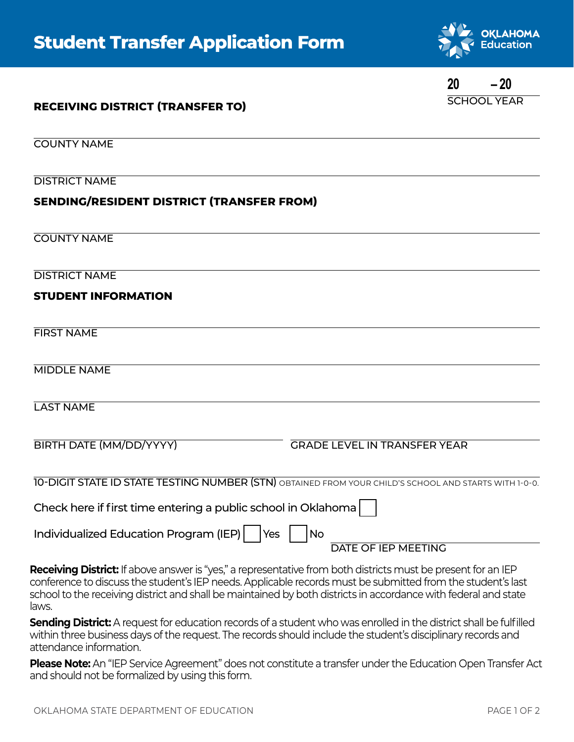

SCHOOL YEAR **20 – 20**

## **RECEIVING DISTRICT (TRANSFER TO)**

COUNTY NAME

DISTRICT NAME

## **SENDING/RESIDENT DISTRICT (TRANSFER FROM)**

COUNTY NAME

DISTRICT NAME

## **STUDENT INFORMATION**

FIRST NAME

MIDDLE NAME

LAST NAME

GRADE LEVEL IN TRANSFER YEAR

10-DIGIT STATE ID STATE TESTING NUMBER (STN) OBTAINED FROM YOUR CHILD'S SCHOOL AND STARTS WITH 1-0-0.

Check here if first time entering a public school in Oklahoma

Individualized Education Program (IEP)  $\vert$   $\vert$  Yes  $\vert$   $\vert$  No

DATE OF IFP MEETING

**Receiving District:** If above answer is "yes," a representative from both districts must be present for an IEP conference to discuss the student's IEP needs. Applicable records must be submitted from the student's last school to the receiving district and shall be maintained by both districts in accordance with federal and state laws.

**Sending District:** A request for education records of a student who was enrolled in the district shall be fulfilled within three business days of the request. The records should include the student's disciplinary records and attendance information.

**Please Note:** An "IEP Service Agreement" does not constitute a transfer under the Education Open Transfer Act and should not be formalized by using this form.